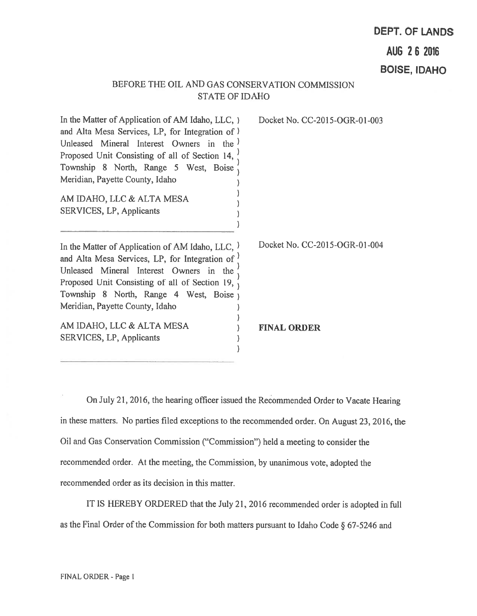# DEPT. OF LANDS AUG 262016

BOISE, IDAHO

## BEFORE THE OIL AND GAS CONSERVATION COMMISSION STATE OF IDAHO

In the Matter of Application of AM Idaho, LLC, ) Docket No. CC-2015-OGR-01-003 and Alta Mesa Services, LP, for Integration of) Unleased Mineral Interest Owners in the l Proposed Unit Consisting of all of Section 14, Township 8 North, Range 5 West, Boise Meridian, Payette County, Idaho AM IDAHO, LLC & ALTA MESA SERVICES, LP, Applicants In the Matter of Application of AM Idaho, LLC,  $)$  Docket No. CC-2015-OGR-01-004 and Alta Mesa Services, LP, for Integration of  $\prime$ Unleased Mineral Interest Owners in the  $\frac{7}{10}$ Proposed Unit Consisting of all of Section 19,  $\frac{1}{1}$ Township 8 North, Range 4 West, Boise

AM IDAHO, LLC & ALTA MESA (a) FINAL ORDER SERVICES, LP, Applicants

Meridian, Payette County, Idaho

On July 21, 2016, the hearing officer issued the Recommended Order to Vacate Hearing in these matters. No parties filed exceptions to the recommended order. On August 23, 2016, the Oil and Gas Conservation Commission ("Commission") held <sup>a</sup> meeting to consider the recommended order. At the meeting, the Commission, by unanimous vote, adopted the recommended order as its decision in this matter.

 $\lambda$ 

 $\mathcal{E}$  $\lambda$ 

IT IS HEREBY ORDERED that the July 21, <sup>2016</sup> recommended order is adopted in frill as the Final Order of the Commission for both matters pursuant to Idaho Code  $\S 67-5246$  and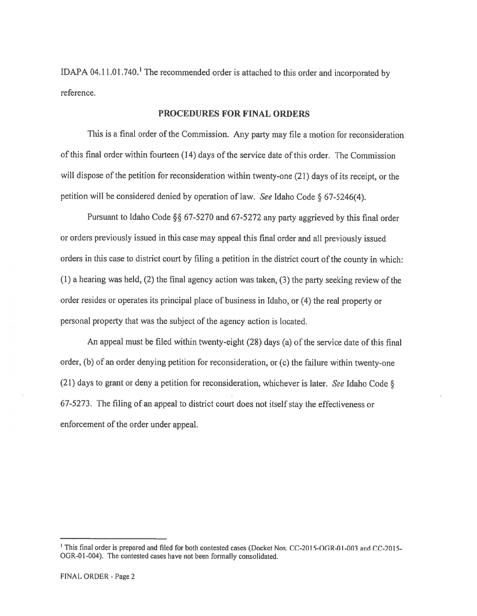IDAPA 04.11.01.740.' The recommended order is attached to this order and incorporated by reference.

### PROCEDURES FOR FINAL ORDERS

This is a final order of the Commission. Any party may file a motion for reconsideration of this final order within fourteen (14) days of the service date ofthis order. The Commission will dispose of the petition for reconsideration within twenty-one (21) days of its receipt, or the petition will be considered denied by operation of law. See Idaho Code § 67-5246(4).

Pursuant to Idaho Code §§ 67-5270 and 67-5272 any party aggrieved by this final order or orders previously issued in this case may appea<sup>l</sup> this final order and all previously issued orders in this case to district court by filing a petition in the district court of the county in which: (1) <sup>a</sup> hearing was held, (2) the final agency action was taken, (3) the party seeking review of the order resides or operates its principal <sup>p</sup>lace of business in Idaho, or (4) the real property or personal property that was the subject of the agency action is located.

An appea<sup>l</sup> must be filed within twenty-eight (28) days (a) of the service date of this final order, (b) of an order denying petition for reconsideration, or (c) the failure within twenty-one (21) days to grant or deny a petition for reconsideration, whichever is later. See Idaho Code  $\S$ 67-5273. The filing of an appea<sup>l</sup> to district court does not itself stay the effectiveness or enforcement of the order under appeal.

<sup>&</sup>lt;sup>1</sup> This final order is prepared and filed for both contested cases (Docket Nos. CC-2015-OGR-01-003 and CC-2015-OGR-01-004). The contested cases have not been formally consolidated.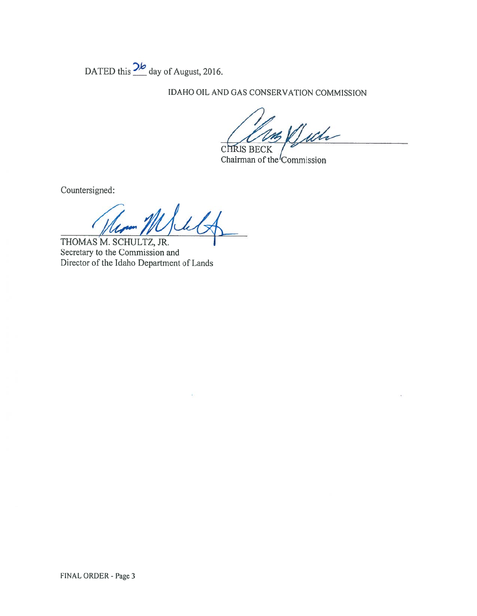DATED this  $\frac{2b}{\text{day of August, 2016}}$ .

IDAHO OIL AND GAS CONSERVATION COMMISSION

Wh **CHRIS BECK** 

Chairman of the Commission

Countersigned:

Id THOMAS M. SCHULTZ, JR.

Secretary to the Commission and Director of the Idaho Department of Lands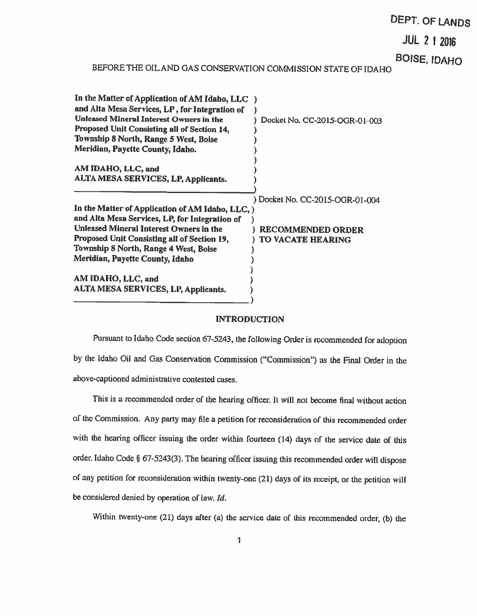# DEPT. OF LANDS

JUL 2 12016

BOISE, IDAHO

# BEFORE THE OJLAND GAS CONSERVATION COMMiSSION STATE OF IDAHO

| In the Matter of Application of AM Idaho, LLC )  |                                 |
|--------------------------------------------------|---------------------------------|
| and Alta Mesa Services, LP, for Integration of   |                                 |
| <b>Unleased Mineral Interest Owners in the</b>   | Docket No. CC-2015-OGR-01-003   |
| Proposed Unit Consisting all of Section 14,      |                                 |
| Township 8 North, Range 5 West, Boise            |                                 |
| Meridian, Payette County, Idaho.                 |                                 |
| AM IDAHO, LLC, and                               |                                 |
| ALTA MESA SERVICES, LP, Applicants.              |                                 |
|                                                  | ) Docket No. CC-2015-OGR-01-004 |
| In the Matter of Application of AM Idaho, LLC, ) |                                 |
| and Alta Mesa Services, LP, for Integration of   |                                 |
| <b>Unleased Mineral Interest Owners in the</b>   | <b>RECOMMENDED ORDER</b>        |
| Proposed Unit Consisting all of Section 19,      | <b>TO VACATE HEARING</b>        |
| Township 8 North, Range 4 West, Boise            |                                 |
| Meridian, Payette County, Idaho                  |                                 |
|                                                  |                                 |
| AM IDAHO, LLC, and                               |                                 |
| <b>ALTA MESA SERVICES, LP, Applicants.</b>       |                                 |
|                                                  |                                 |

#### INTRODUCTION

Pursuant to Idaho Code section 67-5243, the following Order is recommended for adoption by the Idaho Oil and Gas Conservation Commission ("Commission") as the Final Order in the above-captioncd administrative contested cases.

This is <sup>a</sup> recommended order of the hearing officer. It will not become final without action of the Commission. Any party may file <sup>a</sup> petition for reconsideration of this recommended order with the hearing officer issuing the order within fourteen (14) days of the service date of this order. Idaho Code § 67-5243(3). The hearing officer issuing this recommended order will dispose of any petition for reconsideration within twenty-one (21) days of its receipt, or the petition will be considered denied by operation of law. Id.

Within twenty-one (21) days after (a) the service date of this recommended order, (b) the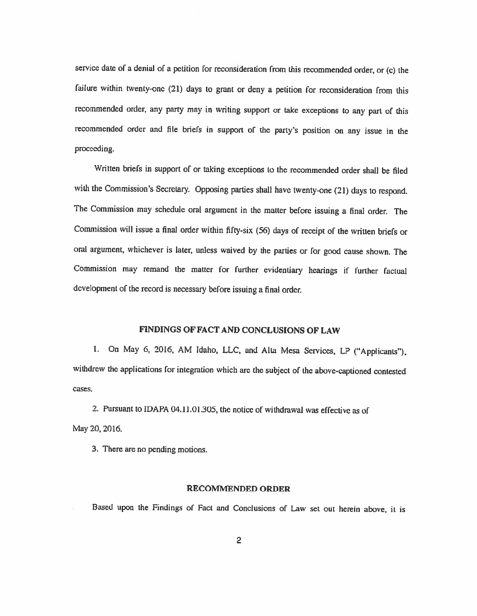service date of <sup>a</sup> denial of <sup>a</sup> petition for reconsideration from this recommended order, or (c) the failure within twenty-one (21) days to grant or deny <sup>a</sup> petition for reconsideration from this recommended order, any party may in writing support or take exceptions to any part of this recommended order and file briefs in support of the party's position on any issue in the proceeding.

Written briefs in support of or taking exceptions to the recommended order shall be filed with the Commission's Secretary. Opposing parties shall have twenty-one (21) days to respond. The Commission may schedule oral argumcnt in the matter before issuing <sup>a</sup> final order. The Commission will issue <sup>a</sup> final order within fifty-six (56) days of receipt of the written briefs or oral argument, whichever is later, unless waived by the parties or for good cause shown. The Commission may remand the matter for further evidentiary hearings if further factual dcvelopment of the record is necessary before issuing <sup>a</sup> final order.

### FINDINGS OF FACT AND CONCLUSIONS OF LAW

1. On May 6, 2016, AM Idaho, LLC, and Alta Mesa Services, LP ("Applicants"), withdrew the applications for integration which are the subject of the above-captioned contested cases.

2. Pursuant to IDAPA 04.11.01.305, the notice of withdrawal was effective as of May 20,2016.

3. There are no pending motions.

### RECOMMENDED ORDER

Based upon the Findings of Fact and Conclusions of Law set out herein above, it is